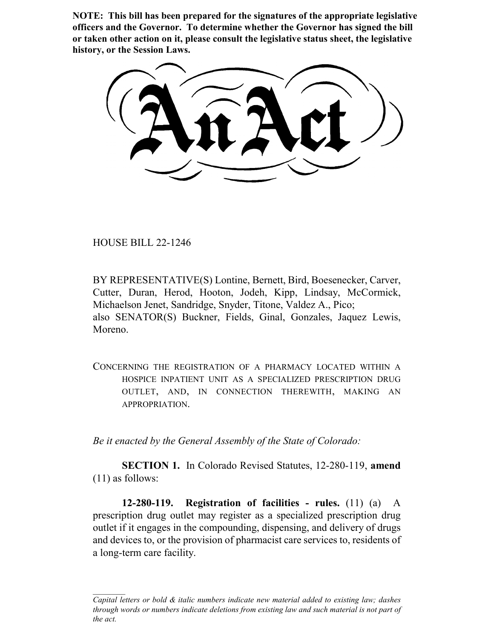**NOTE: This bill has been prepared for the signatures of the appropriate legislative officers and the Governor. To determine whether the Governor has signed the bill or taken other action on it, please consult the legislative status sheet, the legislative history, or the Session Laws.**

HOUSE BILL 22-1246

BY REPRESENTATIVE(S) Lontine, Bernett, Bird, Boesenecker, Carver, Cutter, Duran, Herod, Hooton, Jodeh, Kipp, Lindsay, McCormick, Michaelson Jenet, Sandridge, Snyder, Titone, Valdez A., Pico; also SENATOR(S) Buckner, Fields, Ginal, Gonzales, Jaquez Lewis, Moreno.

CONCERNING THE REGISTRATION OF A PHARMACY LOCATED WITHIN A HOSPICE INPATIENT UNIT AS A SPECIALIZED PRESCRIPTION DRUG OUTLET, AND, IN CONNECTION THEREWITH, MAKING AN APPROPRIATION.

*Be it enacted by the General Assembly of the State of Colorado:*

**SECTION 1.** In Colorado Revised Statutes, 12-280-119, **amend** (11) as follows:

**12-280-119. Registration of facilities - rules.** (11) (a) A prescription drug outlet may register as a specialized prescription drug outlet if it engages in the compounding, dispensing, and delivery of drugs and devices to, or the provision of pharmacist care services to, residents of a long-term care facility.

*Capital letters or bold & italic numbers indicate new material added to existing law; dashes through words or numbers indicate deletions from existing law and such material is not part of the act.*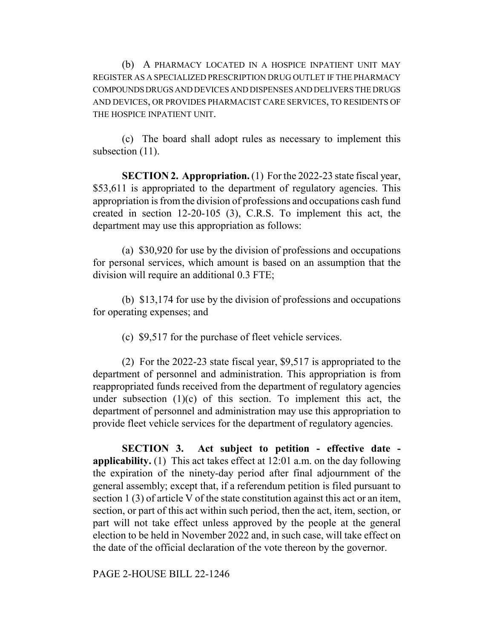(b) A PHARMACY LOCATED IN A HOSPICE INPATIENT UNIT MAY REGISTER AS A SPECIALIZED PRESCRIPTION DRUG OUTLET IF THE PHARMACY COMPOUNDS DRUGS AND DEVICES AND DISPENSES AND DELIVERS THE DRUGS AND DEVICES, OR PROVIDES PHARMACIST CARE SERVICES, TO RESIDENTS OF THE HOSPICE INPATIENT UNIT.

(c) The board shall adopt rules as necessary to implement this subsection  $(11)$ .

**SECTION 2. Appropriation.** (1) For the 2022-23 state fiscal year, \$53,611 is appropriated to the department of regulatory agencies. This appropriation is from the division of professions and occupations cash fund created in section 12-20-105 (3), C.R.S. To implement this act, the department may use this appropriation as follows:

(a) \$30,920 for use by the division of professions and occupations for personal services, which amount is based on an assumption that the division will require an additional 0.3 FTE;

(b) \$13,174 for use by the division of professions and occupations for operating expenses; and

(c) \$9,517 for the purchase of fleet vehicle services.

(2) For the 2022-23 state fiscal year, \$9,517 is appropriated to the department of personnel and administration. This appropriation is from reappropriated funds received from the department of regulatory agencies under subsection  $(1)(c)$  of this section. To implement this act, the department of personnel and administration may use this appropriation to provide fleet vehicle services for the department of regulatory agencies.

**SECTION 3. Act subject to petition - effective date applicability.** (1) This act takes effect at 12:01 a.m. on the day following the expiration of the ninety-day period after final adjournment of the general assembly; except that, if a referendum petition is filed pursuant to section 1 (3) of article V of the state constitution against this act or an item, section, or part of this act within such period, then the act, item, section, or part will not take effect unless approved by the people at the general election to be held in November 2022 and, in such case, will take effect on the date of the official declaration of the vote thereon by the governor.

PAGE 2-HOUSE BILL 22-1246